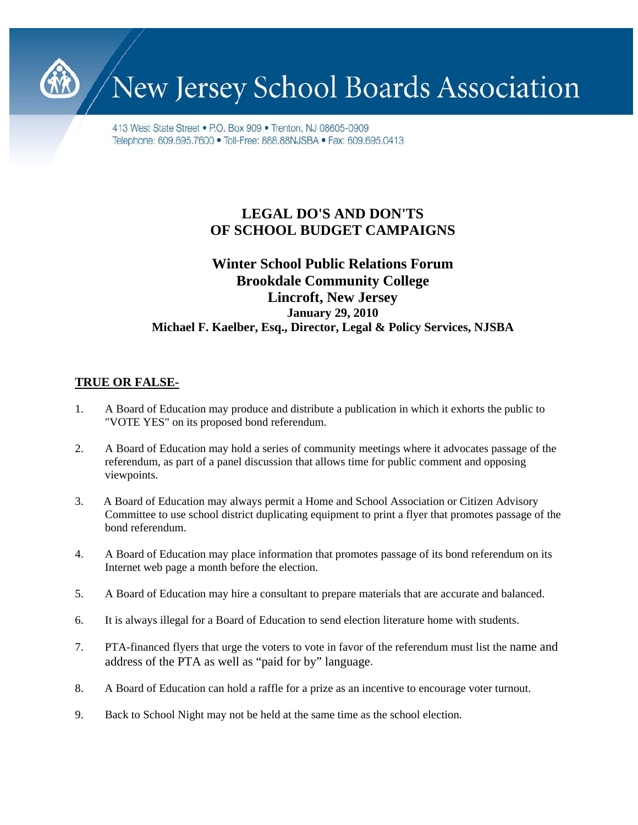New Jersey School Boards Association

413 West State Street • P.O. Box 909 • Trenton, NJ 08605-0909 Telephone: 609.695.7600 • Toll-Free: 888.88NJSBA • Fax: 609.695.0413

## **LEGAL DO'S AND DON'TS OF SCHOOL BUDGET CAMPAIGNS**

## **Winter School Public Relations Forum Brookdale Community College Lincroft, New Jersey January 29, 2010 Michael F. Kaelber, Esq., Director, Legal & Policy Services, NJSBA**

## **TRUE OR FALSE-**

- 1. A Board of Education may produce and distribute a publication in which it exhorts the public to "VOTE YES" on its proposed bond referendum.
- 2. A Board of Education may hold a series of community meetings where it advocates passage of the referendum, as part of a panel discussion that allows time for public comment and opposing viewpoints.
- 3. A Board of Education may always permit a Home and School Association or Citizen Advisory Committee to use school district duplicating equipment to print a flyer that promotes passage of the bond referendum.
- 4. A Board of Education may place information that promotes passage of its bond referendum on its Internet web page a month before the election.
- 5. A Board of Education may hire a consultant to prepare materials that are accurate and balanced.
- 6. It is always illegal for a Board of Education to send election literature home with students.
- 7. PTA-financed flyers that urge the voters to vote in favor of the referendum must list the name and address of the PTA as well as "paid for by" language.
- 8. A Board of Education can hold a raffle for a prize as an incentive to encourage voter turnout.
- 9. Back to School Night may not be held at the same time as the school election.